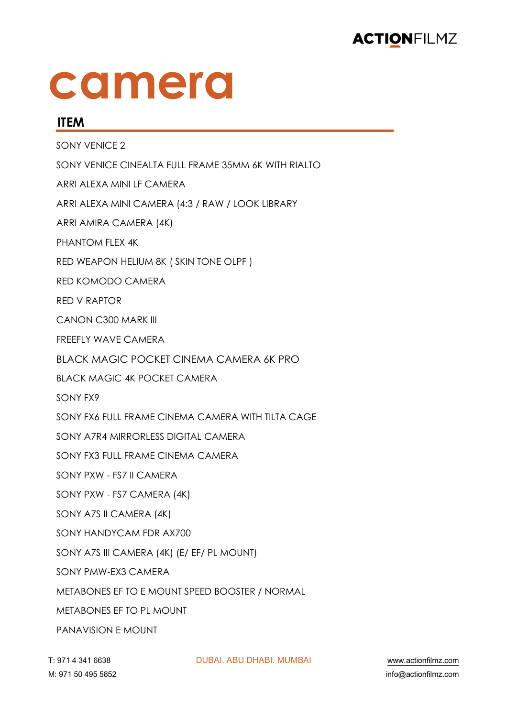

## **camera**

#### **ITEM**

SONY VENICE 2 SONY VENICE CINEALTA FULL FRAME 35MM 6K WITH RIALTO ARRI ALEXA MINI LF CAMERA ARRI ALEXA MINI CAMERA (4:3 / RAW / LOOK LIBRARY ARRI AMIRA CAMERA (4K) PHANTOM FLEX 4K RED WEAPON HELIUM 8K ( SKIN TONE OLPF ) RED KOMODO CAMERA RED V RAPTOR CANON C300 MARK III FREEFLY WAVE CAMERA BLACK MAGIC POCKET CINEMA CAMERA 6K PRO BLACK MAGIC 4K POCKET CAMERA SONY FX9 SONY FX6 FULL FRAME CINEMA CAMERA WITH TILTA CAGE SONY A7R4 MIRRORLESS DIGITAL CAMERA SONY FX3 FULL FRAME CINEMA CAMERA SONY PXW - FS7 II CAMERA SONY PXW - FS7 CAMERA (4K) SONY A7S II CAMERA (4K) SONY HANDYCAM FDR AX700 SONY A7S III CAMERA (4K) (E/ EF/ PL MOUNT) SONY PMW-EX3 CAMERA METABONES EF TO E MOUNT SPEED BOOSTER / NORMAL METABONES EF TO PL MOUNT PANAVISION E MOUNT

!" \$%& ' ('& ))(\* !"#\$%& \$#" !(\$#%& )")#\$% +++,-./01230456,.15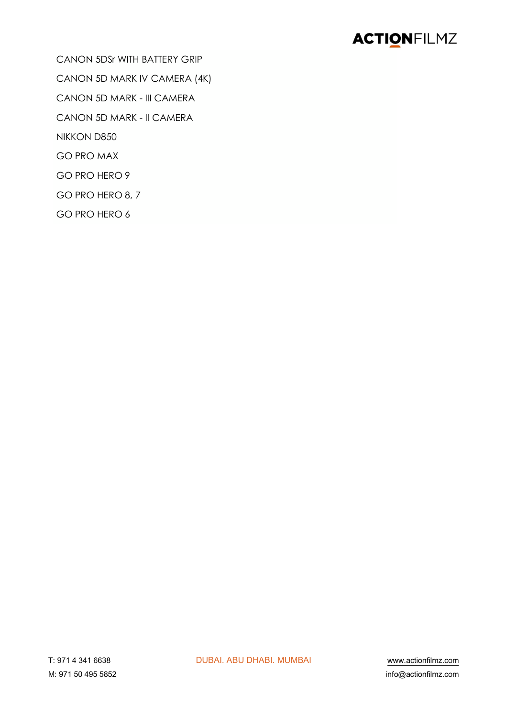CANON 5DSr WITH BATTERY GRIP CANON 5D MARK IV CAMERA (4K) CANON 5D MARK - III CAMERA CANON 5D MARK - II CAMERA NIKKON D850 **GO PRO MAX** GO PRO HERO 9 GO PRO HERO 8, 7 GO PRO HERO 6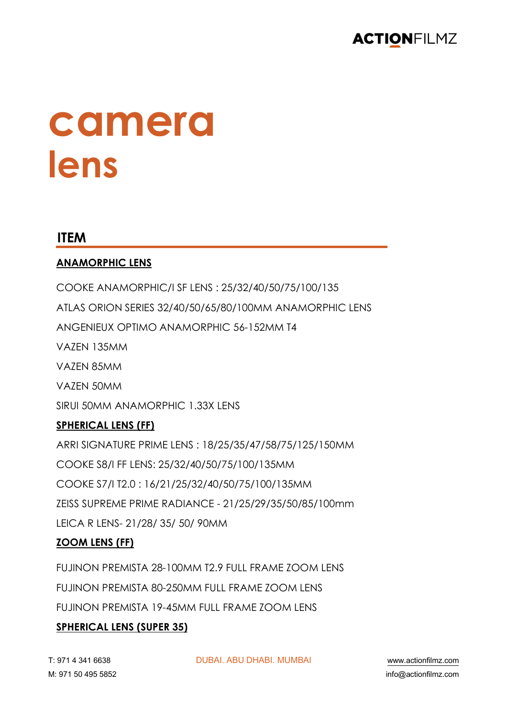

## **camera lens**

#### **ITEM**

#### **ANAMORPHIC LENS**

COOKE ANAMORPHIC/I SF LENS : 25/32/40/50/75/100/135 ATLAS ORION SERIES 32/40/50/65/80/100MM ANAMORPHIC LENS ANGENIEUX OPTIMO ANAMORPHIC 56-152MM T4 VAZEN 135MM VAZEN 85MM VAZEN 50MM SIRUI 50MM ANAMORPHIC 1.33X LENS **SPHERICAL LENS (FF)** ARRI SIGNATURE PRIME LENS : 18/25/35/47/58/75/125/150MM

COOKE S8/I FF LENS: 25/32/40/50/75/100/135MM COOKE S7/I T2.0 : 16/21/25/32/40/50/75/100/135MM ZEISS SUPREME PRIME RADIANCE - 21/25/29/35/50/85/100mm LEICA R LENS- 21/28/ 35/ 50/ 90MM

#### **ZOOM LENS (FF)**

FUJINON PREMISTA 28-100MM T2.9 FULL FRAME ZOOM LENS FUJINON PREMISTA 80-250MM FULL FRAME ZOOM LENS FUJINON PREMISTA 19-45MM FULL FRAME ZOOM LENS

#### **SPHERICAL LENS (SUPER 35)**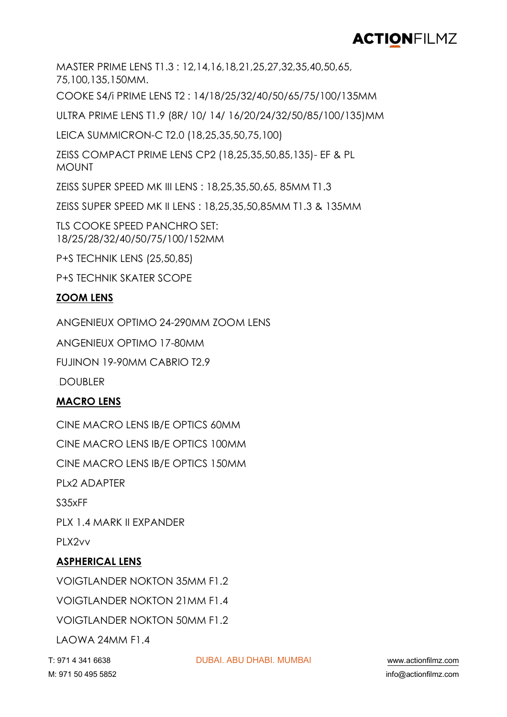MASTER PRIME LENS T1.3 : 12,14,16,18,21,25,27,32,35,40,50,65, 75,100,135,150MM.

COOKE S4/i PRIME LENS T2 : 14/18/25/32/40/50/65/75/100/135MM

ULTRA PRIME LENS T1.9 (8R/ 10/ 14/ 16/20/24/32/50/85/100/135)MM

LEICA SUMMICRON-C T2.0 (18,25,35,50,75,100)

ZEISS COMPACT PRIME LENS CP2 (18,25,35,50,85,135)- EF & PL MOUNT

ZEISS SUPER SPEED MK III LENS : 18,25,35,50,65, 85MM T1.3

ZEISS SUPER SPEED MK II LENS : 18,25,35,50,85MM T1.3 & 135MM

TLS COOKE SPEED PANCHRO SET: 18/25/28/32/40/50/75/100/152MM

P+S TECHNIK LENS (25,50,85)

P+S TECHNIK SKATER SCOPE

#### **ZOOM LENS**

ANGENIEUX OPTIMO 24-290MM ZOOM LENS

ANGENIEUX OPTIMO 17-80MM

FUJINON 19-90MM CABRIO T2.9

**DOUBLER** 

#### **MACRO LENS**

CINE MACRO LENS IB/E OPTICS 60MM CINE MACRO LENS IB/E OPTICS 100MM CINE MACRO LENS IB/E OPTICS 150MM PLx2 ADAPTER S35xFF PLX 1.4 MARK II EXPANDER PLX2vv **ASPHERICAL LENS**

VOIGTLANDER NOKTON 35MM F1.2 VOIGTLANDER NOKTON 21MM F1.4 VOIGTLANDER NOKTON 50MM F1.2 LAOWA 24MM F1.4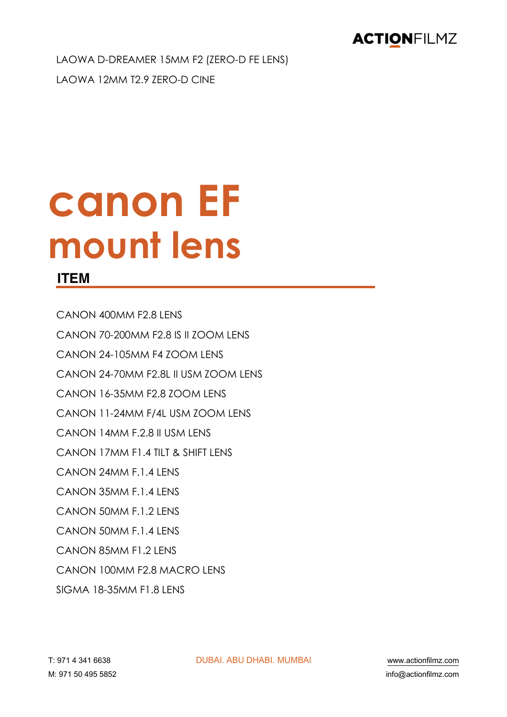LAOWA D-DREAMER 15MM F2 (ZERO-D FE LENS) LAOWA 12MM T2.9 ZERO-D CINE

# **canon EF mount lens**

#### **ITEM**

CANON 400MM F2.8 LENS CANON 70-200MM F2.8 IS II ZOOM LENS CANON 24-105MM F4 ZOOM LENS CANON 24-70MM F2.8L II USM ZOOM LENS CANON 16-35MM F2.8 ZOOM LENS CANON 11-24MM F/4L USM 700M LENS CANON 14MM F.2.8 II USM LENS CANON 17MM F1.4 TILT & SHIFT LENS CANON 24MM F.1.4 LENS CANON 35MM F.1.4 LENS CANON 50MM F.1.2 LENS CANON 50MM F.1.4 LENS CANON 85MM F1.2 LENS CANON 100MM F2.8 MACRO LENS SIGMA 18-35MM F1.8 LENS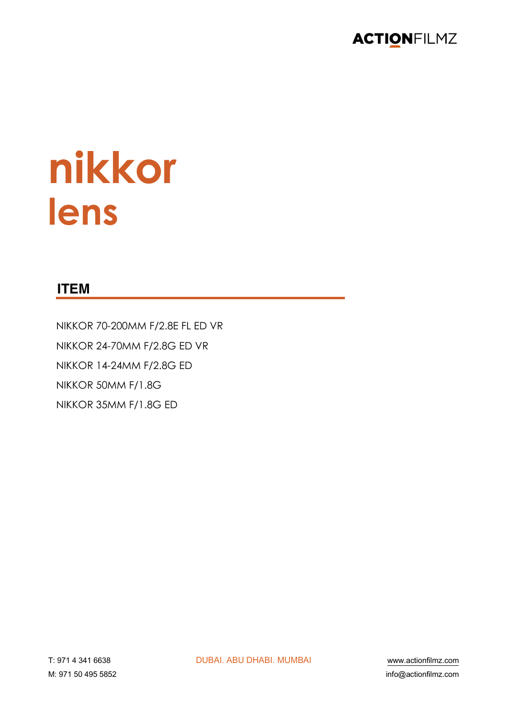

# nikkor lens

#### **ITEM**

NIKKOR 70-200MM F/2.8E FL ED VR NIKKOR 24-70MM F/2.8G ED VR NIKKOR 14-24MM F/2.8G ED NIKKOR 50MM F/1.8G NIKKOR 35MM F/1.8G ED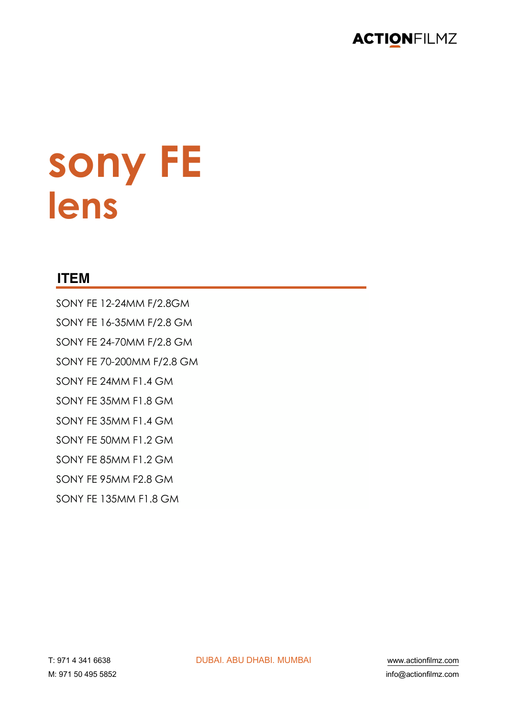

# sony FE<br>lens

#### **ITEM**

SONY FE 12-24MM F/2.8GM SONY FE 16-35MM F/2.8 GM SONY FE 24-70MM F/2.8 GM SONY FE 70-200MM F/2.8 GM SONY FE 24MM F1.4 GM SONY FE 35MM F1.8 GM SONY FE 35MM F1.4 GM SONY FE 50MM F1.2 GM SONY FE 85MM F1.2 GM SONY FE 95MM F2.8 GM SONY FF 135MM F1.8 GM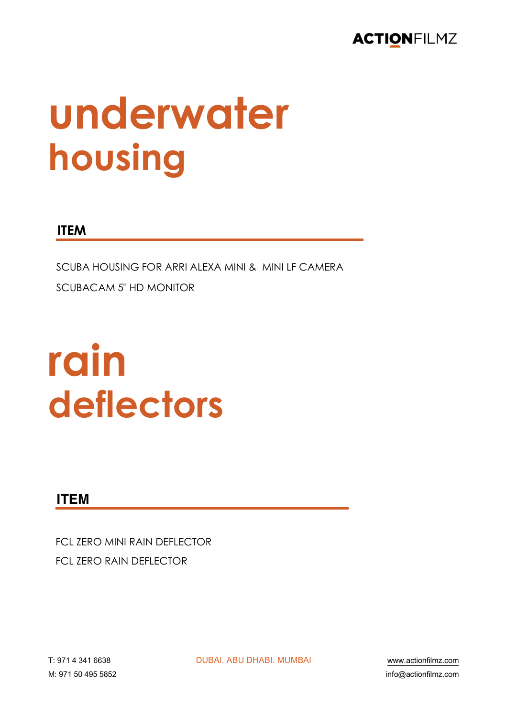# underwater housing

#### **ITEM**

SCUBA HOUSING FOR ARRI ALFXA MINI & MINI I F CAMERA **SCUBACAM 5" HD MONITOR** 

# rain deflectors

#### **ITEM**

FCL ZERO MINI RAIN DEFLECTOR **FCL ZERO RAIN DEFLECTOR** 

**DUBAI, ABU DHABI, MUMBAI** 

www.actionfilmz.com info@actionfilmz.com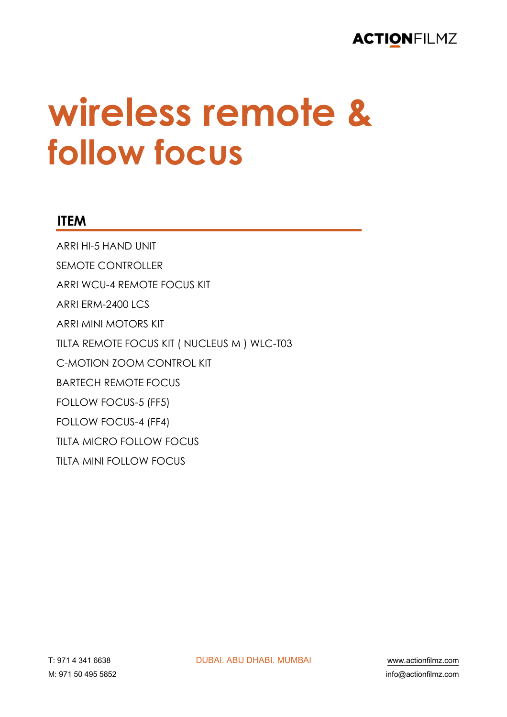### **wireless remote & follow focus**

#### **ITEM**

ARRI HI-5 HAND UNIT SEMOTE CONTROLLER ARRI WCU-4 REMOTE FOCUS KIT ARRI ERM-2400 LCS ARRI MINI MOTORS KIT TILTA REMOTE FOCUS KIT ( NUCLEUS M ) WLC-T03 C-MOTION ZOOM CONTROL KIT BARTECH REMOTE FOCUS FOLLOW FOCUS-5 (FF5) FOLLOW FOCUS-4 (FF4) TILTA MICRO FOLLOW FOCUS TILTA MINI FOLLOW FOCUS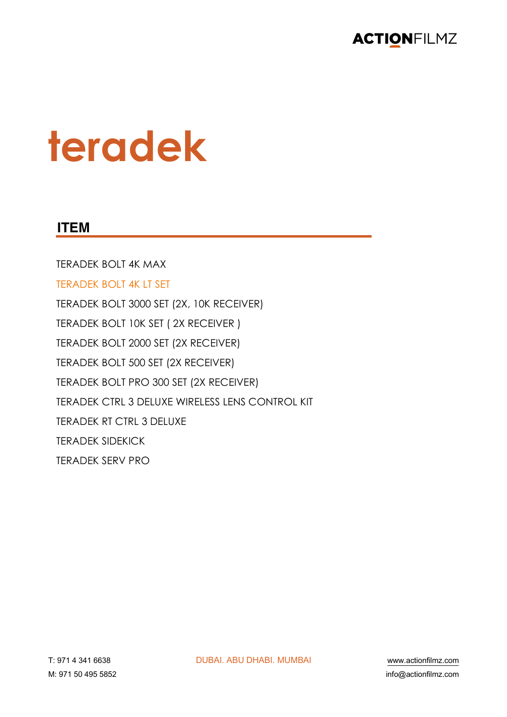

## teradek

#### **ITEM**

**TERADEK BOLT 4K MAX TERADEK BOLT 4K LT SET** TERADEK BOLT 3000 SET (2X, 10K RECEIVER) TERADEK BOLT 10K SET (2X RECEIVER) TERADEK BOLT 2000 SET (2X RECEIVER) TERADEK BOLT 500 SET (2X RECEIVER) TERADEK BOLT PRO 300 SET (2X RECEIVER) TERADEK CTRL 3 DELUXE WIRELESS LENS CONTROL KIT **TERADEK RT CTRL 3 DELUXE TERADEK SIDEKICK TERADEK SERV PRO**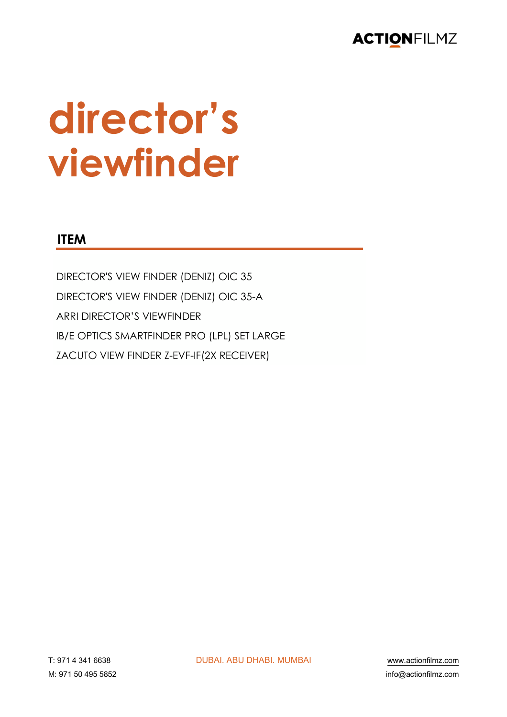

# director's viewfinder

#### **ITEM**

DIRECTOR'S VIEW FINDER (DENIZ) OIC 35 DIRECTOR'S VIEW FINDER (DENIZ) OIC 35-A **ARRI DIRECTOR'S VIEWFINDER** IB/E OPTICS SMARTFINDER PRO (LPL) SET LARGE ZACUTO VIEW FINDER Z-EVF-IF(2X RECEIVER)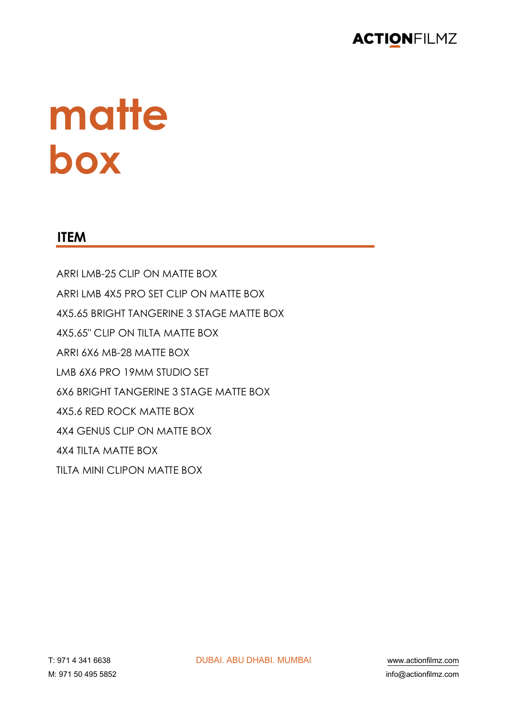

# **matte box**

#### **ITEM**

ARRI LMB-25 CLIP ON MATTE BOX ARRI LMB 4X5 PRO SET CLIP ON MATTE BOX 4X5.65 BRIGHT TANGERINE 3 STAGE MATTE BOX 4X5.65" CLIP ON TILTA MATTE BOX ARRI 6X6 MB-28 MATTE BOX LMB 6X6 PRO 19MM STUDIO SET 6X6 BRIGHT TANGERINE 3 STAGE MATTE BOX 4X5.6 RED ROCK MATTE BOX 4X4 GENUS CLIP ON MATTE BOX 4X4 TILTA MATTE BOX TILTA MINI CLIPON MATTE BOX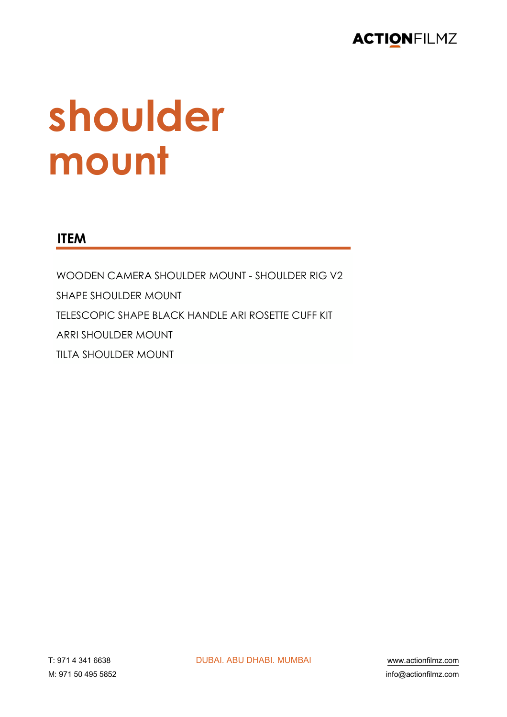

# shoulder mount

#### **ITEM**

WOODEN CAMERA SHOULDER MOUNT - SHOULDER RIG V2 **SHAPE SHOULDER MOUNT** TELESCOPIC SHAPE BLACK HANDLE ARI ROSETTE CUFF KIT **ARRI SHOULDER MOUNT TILTA SHOULDER MOUNT**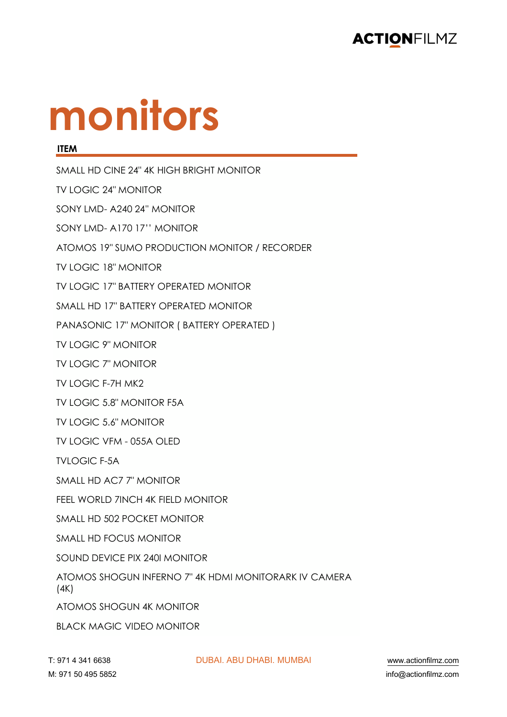

# **monitors**

#### **ITEM**

SMALL HD CINE 24" 4K HIGH BRIGHT MONITOR TV LOGIC 24" MONITOR SONY LMD- A240 24'' MONITOR SONY LMD- A170 17'' MONITOR ATOMOS 19" SUMO PRODUCTION MONITOR / RECORDER TV LOGIC 18" MONITOR TV LOGIC 17" BATTERY OPERATED MONITOR SMALL HD 17" BATTERY OPERATED MONITOR PANASONIC 17" MONITOR ( BATTERY OPERATED ) TV LOGIC 9" MONITOR TV LOGIC 7" MONITOR TV LOGIC F-7H MK2 TV LOGIC 5.8" MONITOR F5A TV LOGIC 5.6" MONITOR TV LOGIC VFM - 055A OLED TVI OGIC F-5A SMALL HD AC7 7" MONITOR FEEL WORLD 7INCH 4K FIELD MONITOR SMALL HD 502 POCKET MONITOR SMALL HD FOCUS MONITOR SOUND DEVICE PIX 240I MONITOR ATOMOS SHOGUN INFERNO 7" 4K HDMI MONITORARK IV CAMERA (4K) ATOMOS SHOGUN 4K MONITOR BLACK MAGIC VIDEO MONITOR

!" \$%& ' ('& ))(\* !"#\$%& \$#" !(\$#%& )")#\$% +++,-./01230456,.15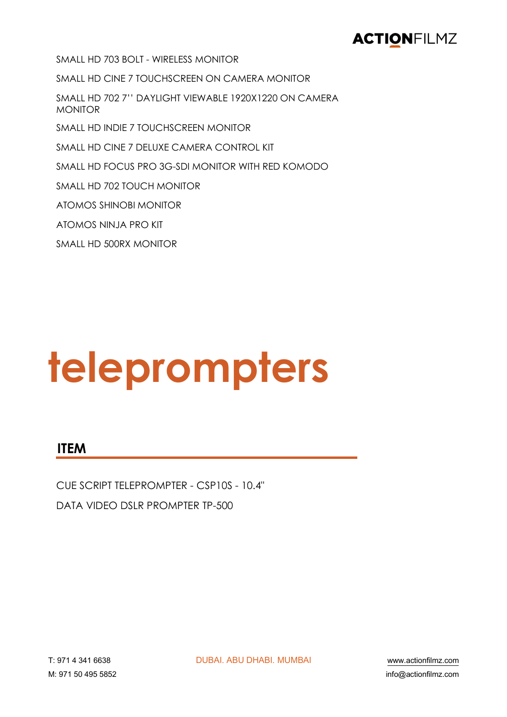SMALL HD 703 BOLT - WIRELESS MONITOR

SMALL HD CINE 7 TOUCHSCREEN ON CAMERA MONITOR

SMALL HD 702 7" DAYLIGHT VIEWABLE 1920X1220 ON CAMERA **MONITOR** 

SMALL HD INDIE 7 TOUCHSCREEN MONITOR

SMALL HD CINE 7 DELUXE CAMERA CONTROL KIT

SMALL HD FOCUS PRO 3G-SDI MONITOR WITH RED KOMODO

SMALL HD 702 TOUCH MONITOR

**ATOMOS SHINOBI MONITOR** 

ATOMOS NINJA PRO KIT

SMALL HD 500RX MONITOR

# teleprompters

#### **ITEM**

CUE SCRIPT TELEPROMPTER - CSP10S - 10.4" DATA VIDEO DSLR PROMPTER TP-500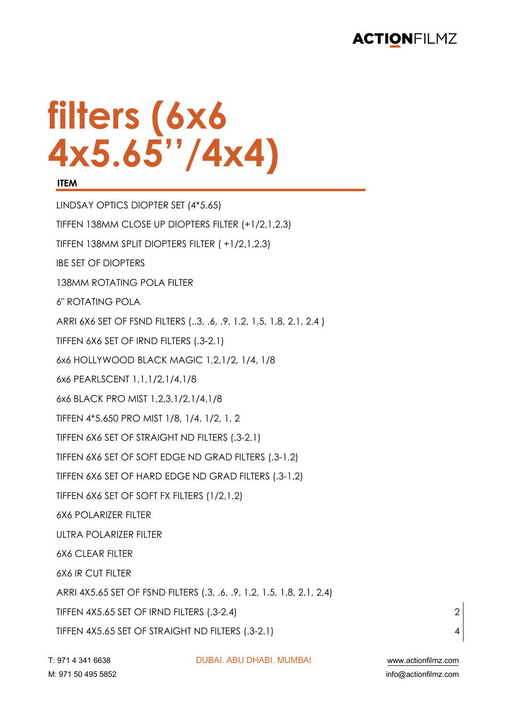# **filters (6x6 4x5.65''/4x4)**

#### **ITEM**

LINDSAY OPTICS DIOPTER SET (4\*5.65) TIFFEN 138MM CLOSE UP DIOPTERS FILTER (+1/2,1,2,3) TIFFEN 138MM SPLIT DIOPTERS FILTER ( +1/2,1,2,3) IBE SET OF DIOPTERS 138MM ROTATING POLA FILTER 6" ROTATING POLA ARRI 6X6 SET OF FSND FILTERS (..3, .6, .9, 1.2, 1.5, 1.8, 2.1, 2.4 ) TIFFEN 6X6 SET OF IRND FILTERS (.3-2.1) 6x6 HOLLYWOOD BLACK MAGIC 1,2,1/2, 1/4, 1/8 6x6 PEARLSCENT 1,1,1/2,1/4,1/8 6x6 BLACK PRO MIST 1,2,3,1/2,1/4,1/8 TIFFEN 4\*5.650 PRO MIST 1/8, 1/4, 1/2, 1, 2 TIFFEN 6X6 SET OF STRAIGHT ND FILTERS (.3-2.1) TIFFEN 6X6 SET OF SOFT EDGE ND GRAD FILTERS (.3-1.2) TIFFEN 6X6 SET OF HARD EDGE ND GRAD FILTERS (.3-1.2) TIFFEN 6X6 SET OF SOFT FX FILTERS (1/2,1,2) 6X6 POLARIZER FILTER ULTRA POLARIZER FILTER 6X6 CLEAR FILTER 6X6 IR CUT FILTER ARRI 4X5.65 SET OF FSND FILTERS (.3, .6, .9, 1.2, 1.5, 1.8, 2.1, 2.4) TIFFEN 4X5.65 SET OF IRND FILTERS (.3-2.4) 2 TIFFEN 4X5.65 SET OF STRAIGHT ND FILTERS (.3-2.1) 4

!" \$%& ' ('& ))(\* !"#\$%& \$#" !(\$#%& )")#\$% +++,-./01230456,.15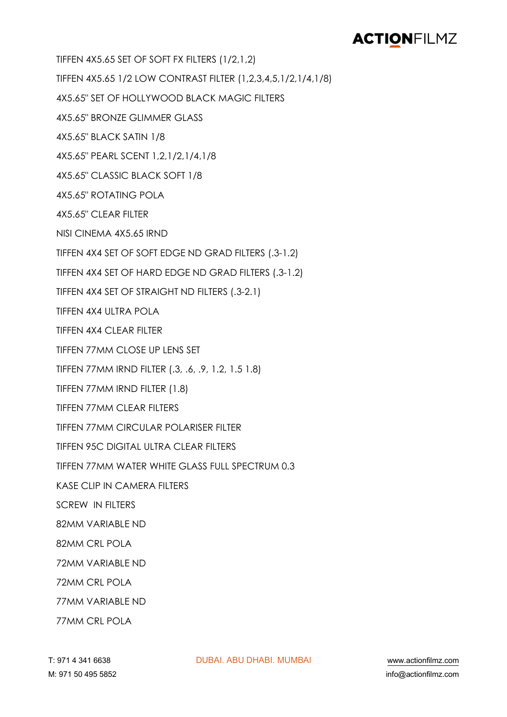TIFFEN 4X5.65 SET OF SOFT FX FILTERS (1/2,1,2)

TIFFEN 4X5.65 1/2 LOW CONTRAST FILTER (1,2,3,4,5,1/2,1/4,1/8)

4X5.65" SET OF HOLLYWOOD BLACK MAGIC FILTERS

4X5.65" BRONZE GLIMMER GLASS

4X5.65" BLACK SATIN 1/8

4X5.65" PEARL SCENT 1,2,1/2,1/4,1/8

4X5.65" CLASSIC BLACK SOFT 1/8

4X5.65" ROTATING POLA

4X5.65" CLEAR FILTER

NISI CINEMA 4X5.65 IRND

TIFFEN 4X4 SET OF SOFT EDGE ND GRAD FILTERS (.3-1.2)

TIFFEN 4X4 SET OF HARD EDGE ND GRAD FILTERS (.3-1.2)

TIFFEN 4X4 SET OF STRAIGHT ND FILTERS (.3-2.1)

TIFFEN 4X4 ULTRA POLA

TIFFEN 4X4 CLEAR FILTER

TIFFEN 77MM CLOSE UP LENS SET

TIFFEN 77MM IRND FILTER (.3, .6, .9, 1.2, 1.5 1.8)

TIFFEN 77MM IRND FILTER (1.8)

TIFFEN 77MM CLEAR FILTERS

TIFFEN 77MM CIRCULAR POLARISER FILTER

TIFFEN 95C DIGITAL ULTRA CLEAR FILTERS

TIFFEN 77MM WATER WHITE GLASS FULL SPECTRUM 0.3

KASE CLIP IN CAMERA FILTERS

SCREW IN FILTERS

82MM VARIABLE ND

82MM CRL POLA

72MM VARIABLE ND

72MM CRL POLA

77MM VARIABLE ND

77MM CRL POLA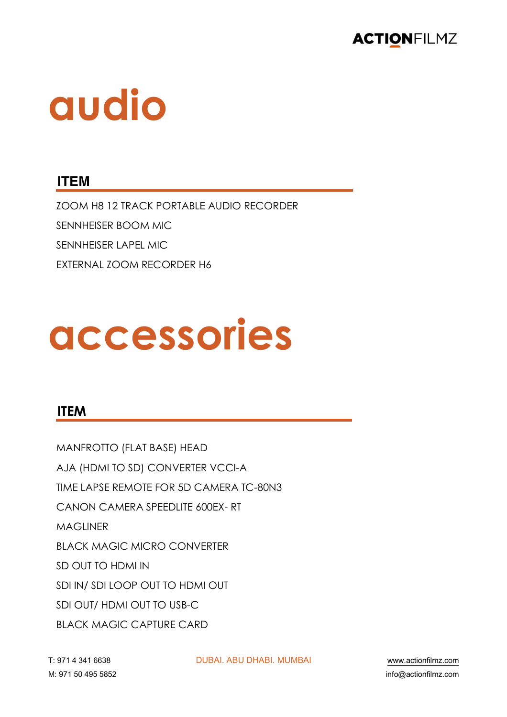

# **audio**

#### **ITEM**

ZOOM H8 12 TRACK PORTABLE AUDIO RECORDER SENNHEISER BOOM MIC SENNHEISER LAPEL MIC EXTERNAL ZOOM RECORDER H6

# **accessories**

#### **ITEM**

MANFROTTO (FLAT BASE) HEAD AJA (HDMI TO SD) CONVERTER VCCI-A TIME LAPSE REMOTE FOR 5D CAMERA TC-80N3 CANON CAMERA SPEEDLITE 600EX- RT **MAGLINER** BLACK MAGIC MICRO CONVERTER SD OUT TO HDMI IN SDI IN/ SDI LOOP OUT TO HDMI OUT SDI OUT/ HDMI OUT TO USB-C BLACK MAGIC CAPTURE CARD

!" \$%& ' ('& ))(\* !"#\$%& \$#" !(\$#%& )")#\$% +++,-./01230456,.15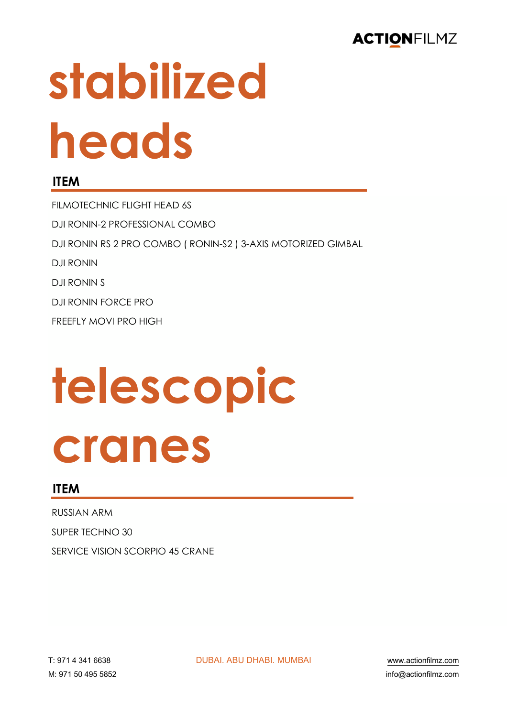# stabilized heads

#### **ITEM**

FILMOTECHNIC FLIGHT HEAD 6S DJI RONIN-2 PROFESSIONAL COMBO DJI RONIN RS 2 PRO COMBO (RONIN-S2) 3-AXIS MOTORIZED GIMBAL **DJI RONIN DJI RONIN S** DJI RONIN FORCE PRO FREEFLY MOVI PRO HIGH

# telescopic cranes

#### **ITEM**

**RUSSIAN ARM** SUPER TECHNO 30 SERVICE VISION SCORPIO 45 CRANE

**DURAL ABU DHABL MUMBAL**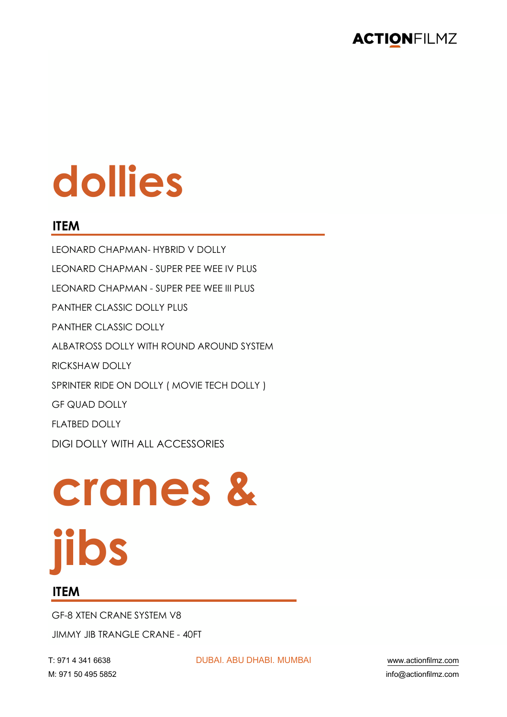# dollies

#### **ITEM**

**I FONARD CHAPMAN- HYBRID V DOITY** LEONARD CHAPMAN - SUPER PEE WEE IV PLUS LEONARD CHAPMAN - SUPER PEE WEE III PLUS PANTHER CLASSIC DOLLY PLUS PANTHER CLASSIC DOLLY ALBATROSS DOLLY WITH ROUND AROUND SYSTEM **RICKSHAW DOLLY** SPRINTER RIDE ON DOLLY ( MOVIE TECH DOLLY ) **GF QUAD DOLLY** FI ATBED DOLLY **DIGI DOLLY WITH ALL ACCESSORIES** 

# cranes & **jibs**

#### **ITEM**

**GF-8 XTEN CRANE SYSTEM V8** 

**JIMMY JIB TRANGLE CRANE - 40FT** 

T: 971 4 341 6638 M: 971 50 495 5852 **DUBAI, ABU DHABI, MUMBAI** 

www.actionfilmz.com info@actionfilmz.com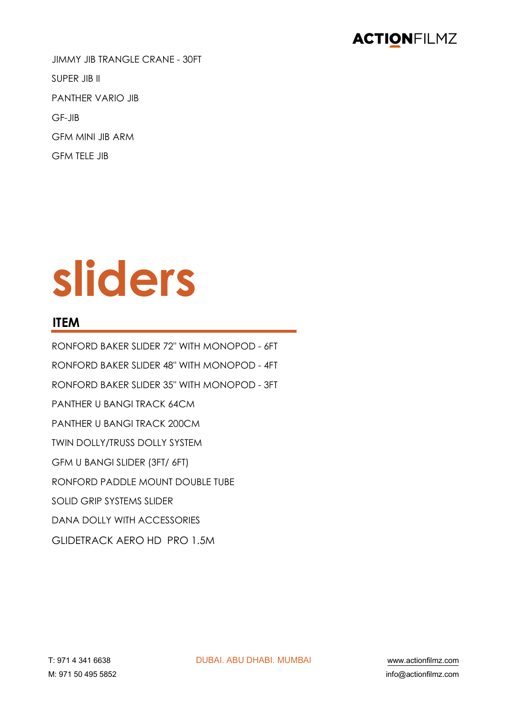JIMMY JIB TRANGLE CRANE - 30FT SUPER JIB II PANTHER VARIO JIB GF-JIB GFM MINI JIB ARM GFM TELE JIB

# **sliders**

#### **ITEM**

RONFORD BAKER SLIDER 72" WITH MONOPOD - 6FT RONFORD BAKER SLIDER 48" WITH MONOPOD - 4FT RONFORD BAKER SLIDER 35" WITH MONOPOD - 3FT PANTHER U BANGI TRACK 64CM PANTHER U BANGI TRACK 200CM TWIN DOLLY/TRUSS DOLLY SYSTEM GFM U BANGI SLIDER (3FT/ 6FT) RONFORD PADDLE MOUNT DOUBLE TUBE SOLID GRIP SYSTEMS SLIDER DANA DOLLY WITH ACCESSORIES GLIDETRACK AERO HD PRO 1.5M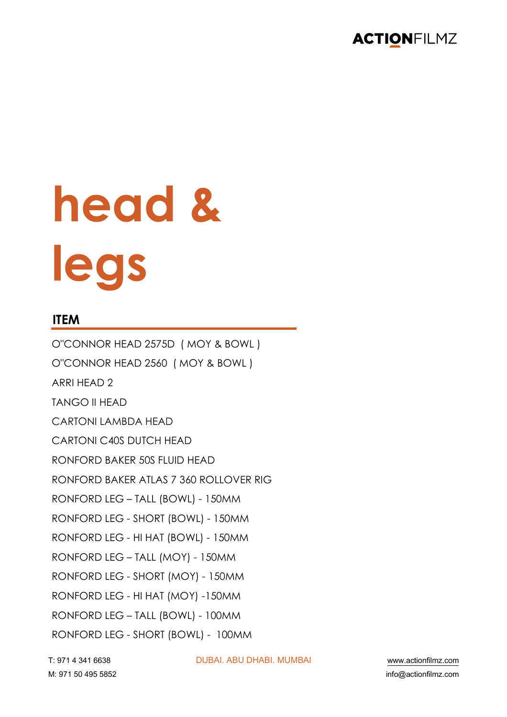

# **head & legs**

#### **ITEM**

O"CONNOR HEAD 2575D ( MOY & BOWL ) O"CONNOR HEAD 2560 ( MOY & BOWL ) ARRI HEAD 2 TANGO II HEAD CARTONI LAMBDA HEAD CARTONI C40S DUTCH HEAD RONFORD BAKER 50S FLUID HEAD RONFORD BAKER ATLAS 7 360 ROLLOVER RIG RONFORD LEG – TALL (BOWL) - 150MM RONFORD LEG - SHORT (BOWL) - 150MM RONFORD LEG - HI HAT (BOWL) - 150MM RONFORD LEG – TALL (MOY) - 150MM RONFORD LEG - SHORT (MOY) - 150MM RONFORD LEG - HI HAT (MOY) -150MM RONFORD LEG – TALL (BOWL) - 100MM RONFORD LEG - SHORT (BOWL) - 100MM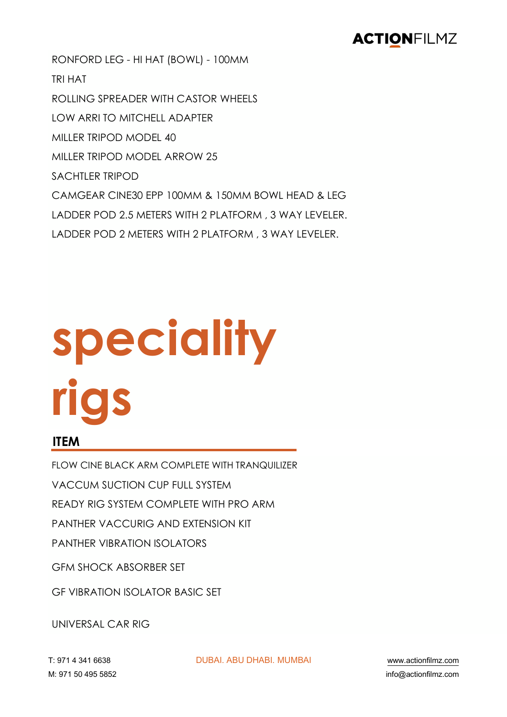RONFORD LEG - HI HAT (BOWL) - 100MM TRI HAT ROLLING SPREADER WITH CASTOR WHEELS LOW ARRI TO MITCHELL ADAPTER MILLER TRIPOD MODEL 40 MILLER TRIPOD MODEL ARROW 25 SACHTLER TRIPOD CAMGEAR CINE30 EPP 100MM & 150MM BOWL HEAD & LEG LADDER POD 2.5 METERS WITH 2 PLATFORM , 3 WAY LEVELER. LADDER POD 2 METERS WITH 2 PLATFORM , 3 WAY LEVELER.

# **speciality rigs**

#### **ITEM**

FLOW CINE BLACK ARM COMPLETE WITH TRANQUILIZER

VACCUM SUCTION CUP FULL SYSTEM

READY RIG SYSTEM COMPLETE WITH PRO ARM

PANTHER VACCURIG AND EXTENSION KIT

PANTHER VIBRATION ISOLATORS

GFM SHOCK ABSORBER SET

GF VIBRATION ISOLATOR BASIC SET

UNIVERSAL CAR RIG

!" \$%& ' ('& ))(\* !"#\$%& \$#" !(\$#%& )")#\$% +++,-./01230456,.15

7" \$%& 89 '\$8 8\*8: 0231;-./01230456,.15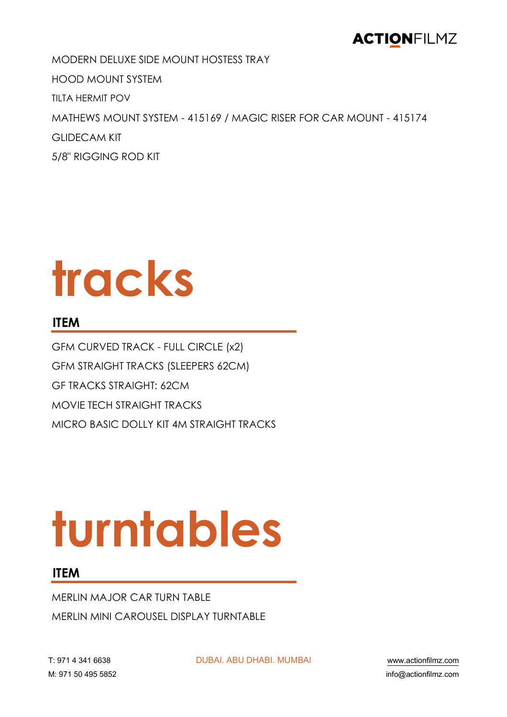MODERN DELUXE SIDE MOUNT HOSTESS TRAY HOOD MOUNT SYSTEM TILTA HERMIT POV MATHEWS MOUNT SYSTEM - 415169 / MAGIC RISER FOR CAR MOUNT - 415174 GLIDECAM KIT 5/8" RIGGING ROD KIT

# **tracks**

#### **ITEM**

GFM CURVED TRACK - FULL CIRCLE (x2) GFM STRAIGHT TRACKS (SLEEPERS 62CM) GF TRACKS STRAIGHT: 62CM MOVIE TECH STRAIGHT TRACKS MICRO BASIC DOLLY KIT 4M STRAIGHT TRACKS

# **turntables**

#### **ITEM**

MERLIN MAJOR CAR TURN TABLE MERLIN MINI CAROUSEL DISPLAY TURNTABLE

!" \$%& ' ('& ))(\* !"#\$%& \$#" !(\$#%& )")#\$% +++,-./01230456,.15

7" \$%& 89 '\$8 8\*8: 0231;-./01230456,.15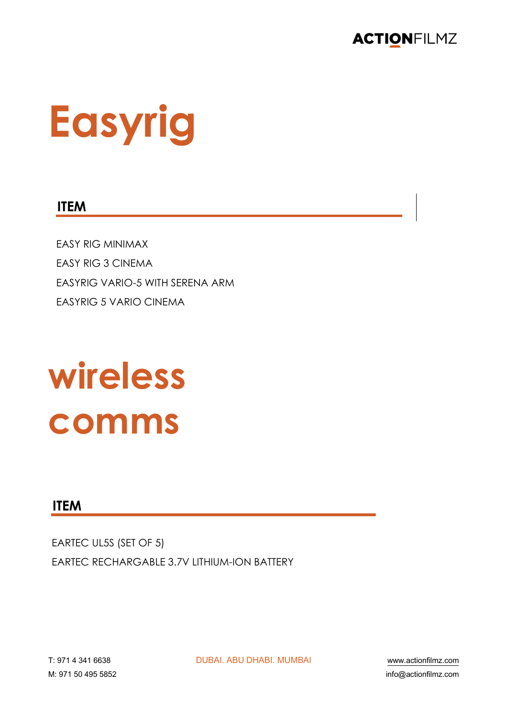

# **Easyrig**

#### **ITEM**

**EASY RIG MINIMAX FASY RIG 3 CINEMA FASYRIG VARIO-5 WITH SFRENA ARM EASYRIG 5 VARIO CINEMA** 

## wireless comms

#### **ITEM**

EARTEC UL5S (SET OF 5) **FARTEC RECHARGABLE 3.7V LITHIUM-ION BATTERY** 

**DUBAI, ABU DHABI, MUMBAI** 

www.actionfilmz.com info@actionfilmz.com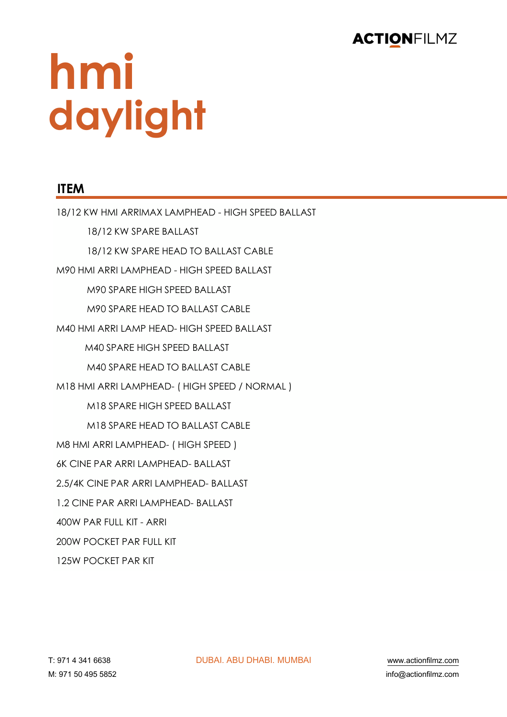

# **hmi daylight**

#### **ITEM**

18/12 KW HMI ARRIMAX LAMPHEAD - HIGH SPEED BALLAST 18/12 KW SPARE BALLAST 18/12 KW SPARE HEAD TO BALLAST CABLE M90 HMI ARRI LAMPHEAD - HIGH SPEED BALLAST M90 SPARE HIGH SPEED BALLAST M90 SPARE HEAD TO BALLAST CABLE M40 HMI ARRI LAMP HEAD- HIGH SPEED BALLAST M40 SPARE HIGH SPEED BALLAST M40 SPARE HEAD TO BALLAST CABLE M18 HMI ARRI LAMPHEAD- ( HIGH SPEED / NORMAL ) M18 SPARE HIGH SPEED BALLAST M18 SPARE HEAD TO BALLAST CABLE M8 HMI ARRI LAMPHEAD- ( HIGH SPEED ) 6K CINE PAR ARRI LAMPHEAD- BALLAST 2.5/4K CINE PAR ARRI LAMPHEAD- BALLAST 1.2 CINE PAR ARRI LAMPHEAD- BALLAST 400W PAR FULL KIT - ARRI 200W POCKET PAR FULL KIT 125W POCKET PAR KIT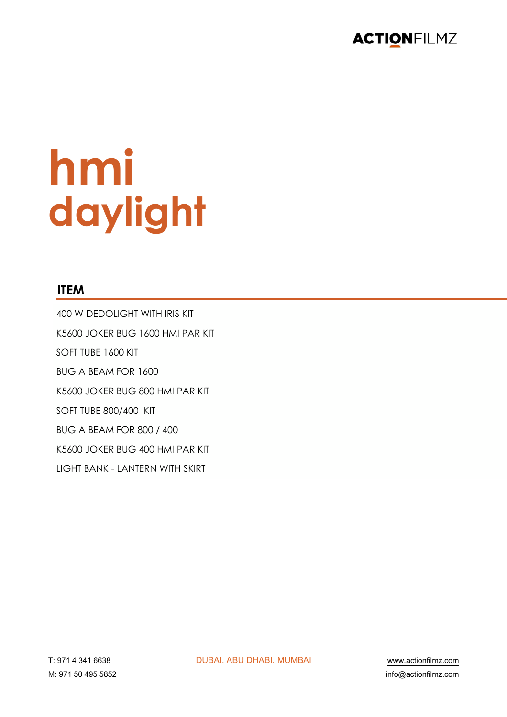

# hmi daylight

#### **ITEM**

400 W DEDOLIGHT WITH IRIS KIT K5600 JOKER BUG 1600 HMI PAR KIT SOFT TUBE 1600 KIT BUG A BEAM FOR 1600 K5600 JOKER BUG 800 HMI PAR KIT SOFT TUBE 800/400 KIT **BUG A BEAM FOR 800 / 400** K5600 JOKER BUG 400 HMI PAR KIT **I IGHT BANK - I ANTERN WITH SKIRT**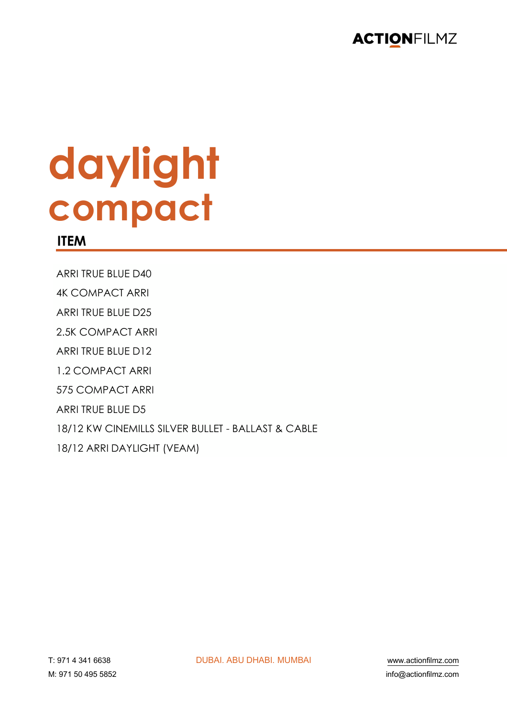

# daylight compact

#### **ITEM**

ARRI TRUE BLUE D40

**4K COMPACT ARRI** 

**ARRI TRUE BLUE D25** 

2.5K COMPACT ARRI

ARRI TRUE BLUE D12

1.2 COMPACT ARRI

575 COMPACT ARRI

ARRI TRUE BLUE D5

18/12 KW CINEMILLS SILVER BULLET - BALLAST & CABLE

18/12 ARRI DAYLIGHT (VEAM)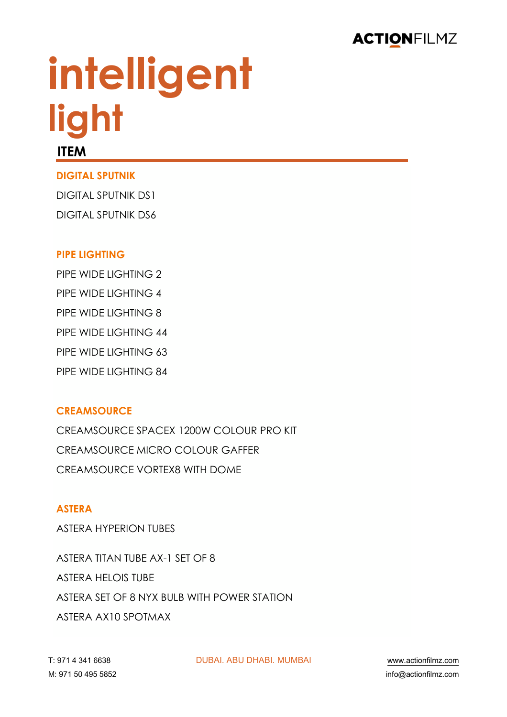

# **intelligent light**

#### **ITEM**

#### **DIGITAL SPUTNIK**

DIGITAL SPUTNIK DS1 DIGITAL SPUTNIK DS6

#### **PIPE LIGHTING**

PIPE WIDE LIGHTING 2 PIPE WIDE LIGHTING 4 PIPE WIDE LIGHTING 8 PIPE WIDE LIGHTING 44 PIPE WIDE LIGHTING 63 PIPE WIDE LIGHTING 84

#### **CREAMSOURCE**

CREAMSOURCE SPACEX 1200W COLOUR PRO KIT CREAMSOURCE MICRO COLOUR GAFFER CREAMSOURCE VORTEX8 WITH DOME

#### **ASTERA**

ASTERA HYPERION TUBES

ASTERA TITAN TUBE AX-1 SET OF 8 ASTERA HELOIS TUBE ASTERA SET OF 8 NYX BULB WITH POWER STATION ASTERA AX10 SPOTMAX

!" \$%& ' ('& ))(\* !"#\$%& \$#" !(\$#%& )")#\$% +++,-./01230456,.15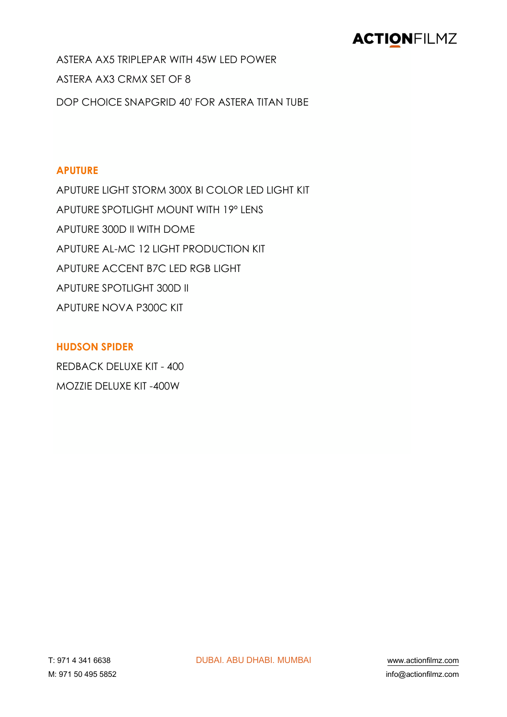ASTERA AX5 TRIPLEPAR WITH 45W LED POWER ASTERA AX3 CRMX SET OF 8 DOP CHOICE SNAPGRID 40' FOR ASTERA TITAN TUBE

#### **APUTURE**

APUTURE LIGHT STORM 300X BI COLOR LED LIGHT KIT APUTURE SPOTLIGHT MOUNT WITH 19º LENS APUTURE 300D II WITH DOME APUTURE AL-MC 12 LIGHT PRODUCTION KIT APUTURE ACCENT B7C LED RGB LIGHT APUTURE SPOTLIGHT 300D II APUTURE NOVA P300C KIT

#### **HUDSON SPIDER**

REDBACK DELUXE KIT - 400 MOZZIE DELUXE KIT -400W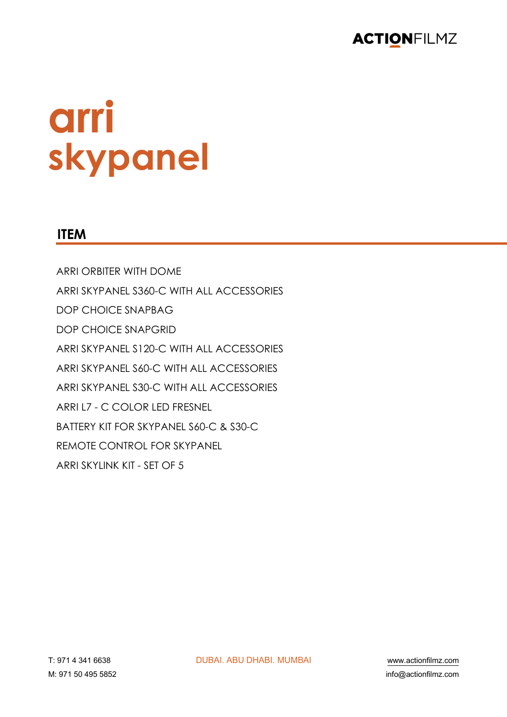

# arri skypanel

#### **ITEM**

**ARRI ORBITER WITH DOME** ARRI SKYPANEL S360-C WITH ALL ACCESSORIES **DOP CHOICE SNAPBAG DOP CHOICE SNAPGRID** ARRI SKYPANEL S120-C WITH ALL ACCESSORIES ARRI SKYPANEL S60-C WITH ALL ACCESSORIES ARRI SKYPANEL S30-C WITH ALL ACCESSORIES ARRI L7 - C COLOR LED FRESNEL BATTERY KIT FOR SKYPANEL S60-C & S30-C **REMOTE CONTROL FOR SKYPANEL** ARRI SKYLINK KIT - SET OF 5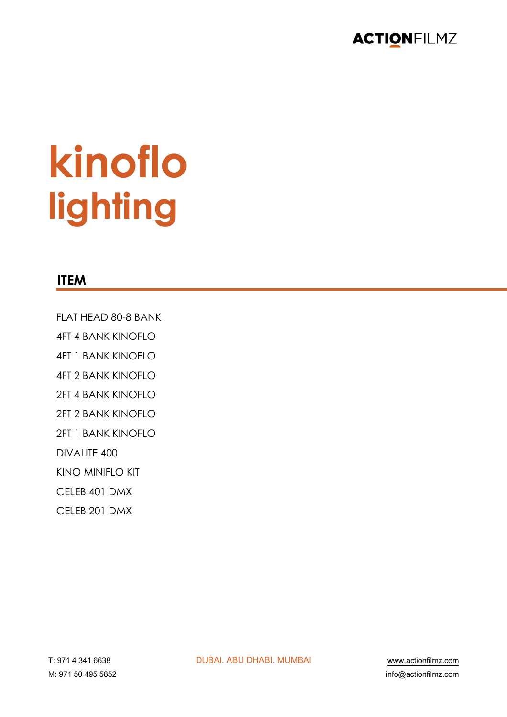

# kinoflo lighting

#### **ITEM**

FLAT HEAD 80-8 BANK

**4FT 4 BANK KINOFLO** 

**4FT 1 BANK KINOFIO** 

- **4FT 2 BANK KINOFLO**
- 2FT 4 BANK KINOFLO
- 2FT 2 BANK KINOFIO
- 2FT 1 BANK KINOFLO

DIVALITE 400

**KINO MINIFLO KIT** 

CELEB 401 DMX

CELEB 201 DMX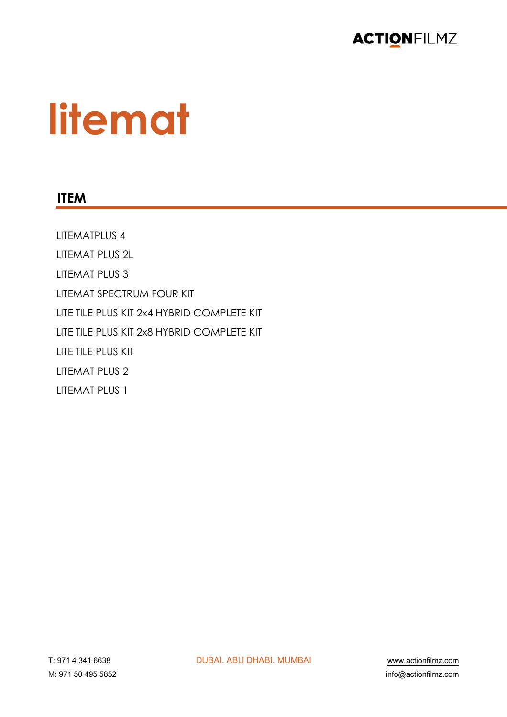

# **litemat**

#### **ITEM**

LITEMATPLUS 4 LITEMAT PLUS 2L LITEMAT PLUS 3 **LITEMAT SPECTRUM FOUR KIT** LITE TILE PLUS KIT 2x4 HYBRID COMPLETE KIT LITE TILE PLUS KIT 2x8 HYBRID COMPLETE KIT LITE TILE PLUS KIT **LITEMAT PLUS 2** LITEMAT PLUS 1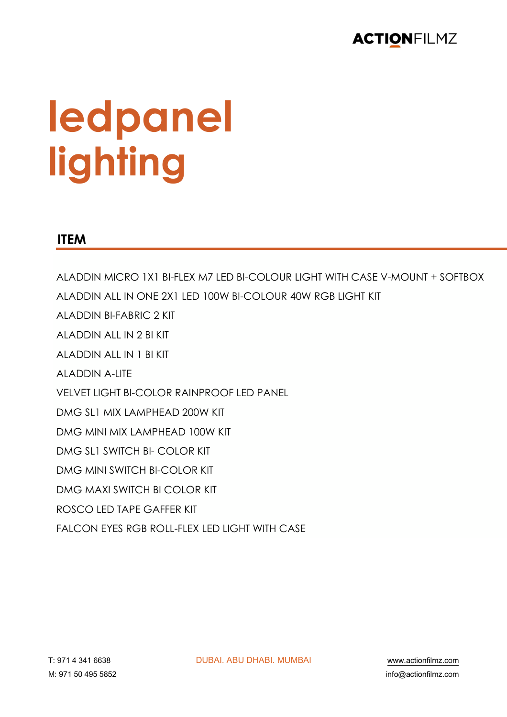

# **ledpanel lighting**

#### **ITEM**

ALADDIN MICRO 1X1 BI-FLEX M7 LED BI-COLOUR LIGHT WITH CASE V-MOUNT + SOFTBOX ALADDIN ALL IN ONE 2X1 LED 100W BI-COLOUR 40W RGB LIGHT KIT ALADDIN BI-FABRIC 2 KIT ALADDIN ALL IN 2 BI KIT ALADDIN ALL IN 1 BI KIT ALADDIN A-LITE VELVET LIGHT BI-COLOR RAINPROOF LED PANEL DMG SL1 MIX LAMPHEAD 200W KIT DMG MINI MIX LAMPHEAD 100W KIT DMG SL1 SWITCH BI- COLOR KIT DMG MINI SWITCH BI-COLOR KIT DMG MAXI SWITCH BI COLOR KIT ROSCO LED TAPE GAFFER KIT FALCON EYES RGB ROLL-FLEX LED LIGHT WITH CASE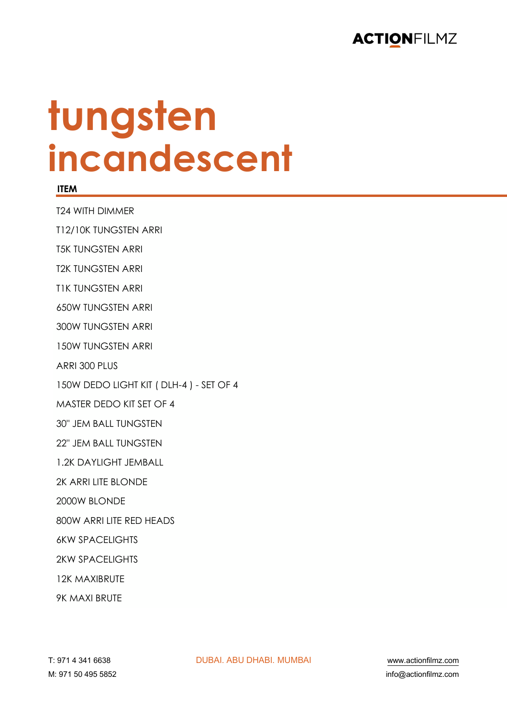

## tungsten incandescent

#### **ITEM**

**T24 WITH DIMMER** 

T12/10K TUNGSTEN ARRI

**T5K TUNGSTEN ARRI** 

**T2K TUNGSTEN ARRI** 

**TIK TUNGSTEN ARRI** 

**650W TUNGSTEN ARRI** 

300W TUNGSTEN ARRI

**150W TUNGSTEN ARRI** 

ARRI 300 PLUS

150W DEDO LIGHT KIT (DLH-4) - SET OF 4

MASTER DEDO KIT SET OF 4

**30" JEM BALL TUNGSTEN** 

22" JFM BALL TUNGSTEN

1.2K DAYLIGHT JEMBALL

2K ARRI LITE BLONDE

2000W BLONDE

800W ARRI LITE RED HEADS

**6KW SPACELIGHTS** 

**2KW SPACELIGHTS** 

**12K MAXIBRUTE** 

**9K MAXI BRUTE**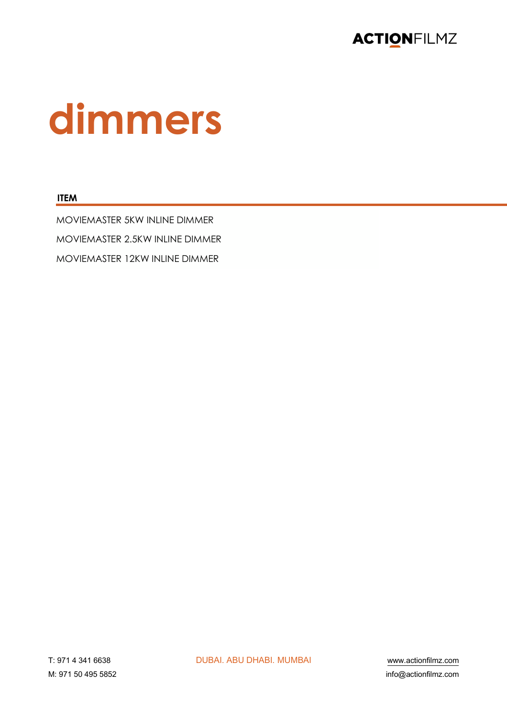

# dimmers

#### **ITEM**

MOVIEMASTER 5KW INLINE DIMMER MOVIEMASTER 2.5KW INLINE DIMMER MOVIEMASTER 12KW INLINE DIMMER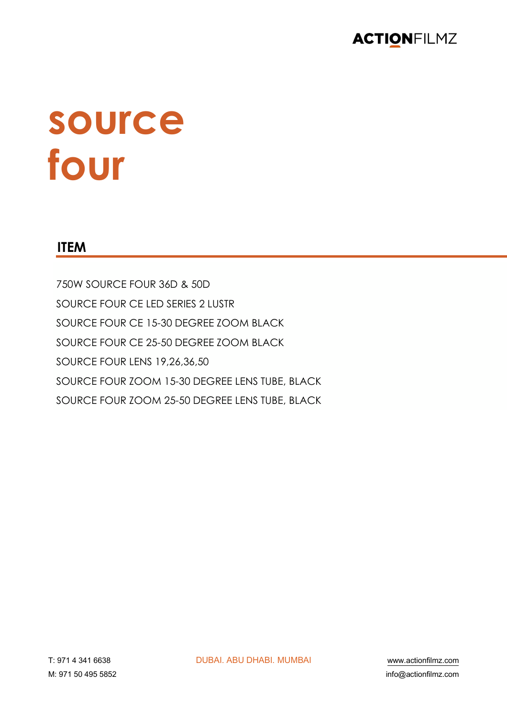

# source four

#### **ITEM**

750W SOURCE FOUR 36D & 50D SOURCE FOUR CE LED SERIES 2 LUSTR SOURCE FOUR CE 15-30 DEGREE ZOOM BLACK SOURCE FOUR CE 25-50 DEGREE ZOOM BLACK SOURCE FOUR LENS 19,26,36,50 SOURCE FOUR ZOOM 15-30 DEGREE LENS TUBE, BLACK SOURCE FOUR ZOOM 25-50 DEGREE LENS TUBE, BLACK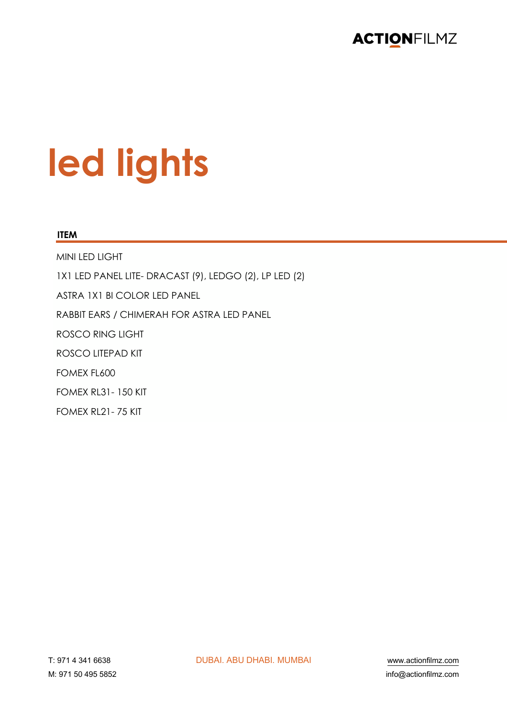

# led lights

#### **ITEM**

MINI LED LIGHT 1X1 LED PANEL LITE- DRACAST (9), LEDGO (2), LP LED (2) ASTRA 1X1 BI COLOR LED PANEL RABBIT EARS / CHIMERAH FOR ASTRA LED PANEL **ROSCO RING LIGHT** ROSCO LITEPAD KIT FOMEX FL600 **FOMEX RL31-150 KIT** FOMEX RL21 - 75 KIT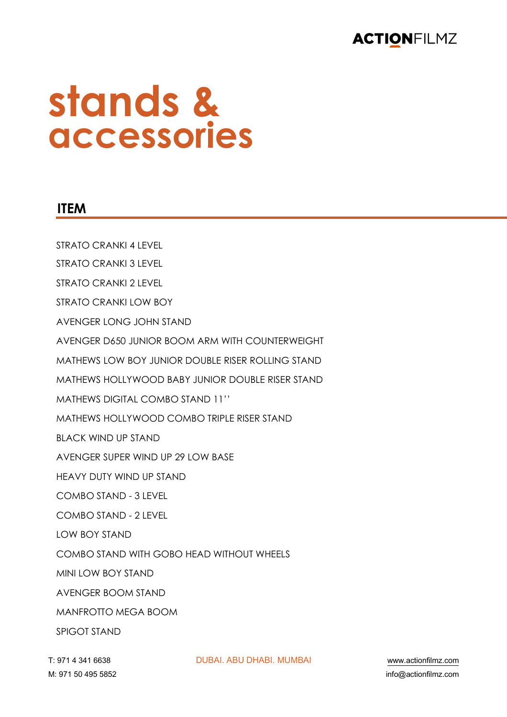### **stands & accessories**

#### **ITEM**

STRATO CRANKI 4 LEVEL STRATO CRANKI 3 LEVEL STRATO CRANKI 2 LEVEL STRATO CRANKI LOW BOY AVENGER LONG JOHN STAND AVENGER D650 JUNIOR BOOM ARM WITH COUNTERWEIGHT MATHEWS LOW BOY JUNIOR DOUBLE RISER ROLLING STAND MATHEWS HOLLYWOOD BABY JUNIOR DOUBLE RISER STAND MATHEWS DIGITAL COMBO STAND 11'' MATHEWS HOLLYWOOD COMBO TRIPLE RISER STAND BLACK WIND UP STAND AVENGER SUPER WIND UP 29 LOW BASE HEAVY DUTY WIND UP STAND COMBO STAND - 3 LEVEL COMBO STAND - 2 LEVEL LOW BOY STAND COMBO STAND WITH GOBO HEAD WITHOUT WHEELS MINI LOW BOY STAND AVENGER BOOM STAND MANFROTTO MEGA BOOM SPIGOT STAND

!" \$%& ' ('& ))(\* !"#\$%& \$#" !(\$#%& )")#\$% +++,-./01230456,.15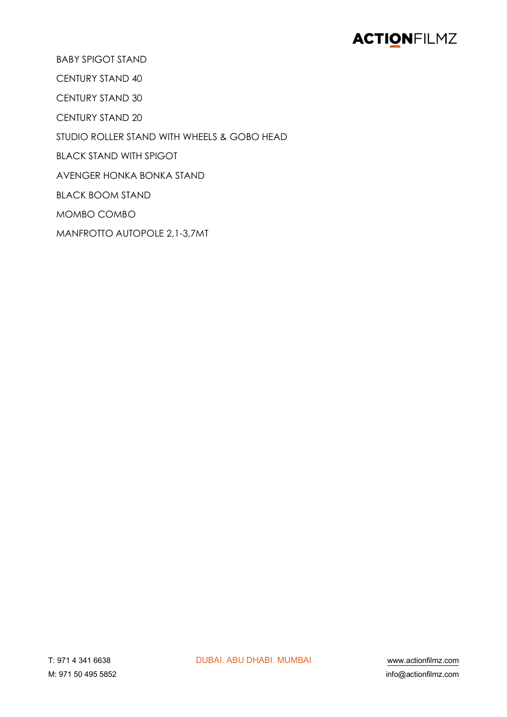**BABY SPIGOT STAND** 

**CENTURY STAND 40** 

**CENTURY STAND 30** 

CENTURY STAND 20

STUDIO ROLLER STAND WITH WHEELS & GOBO HEAD

**BLACK STAND WITH SPIGOT** 

AVENGER HONKA BONKA STAND

**BLACK BOOM STAND** 

MOMBO COMBO

MANFROTTO AUTOPOLE 2.1-3.7MT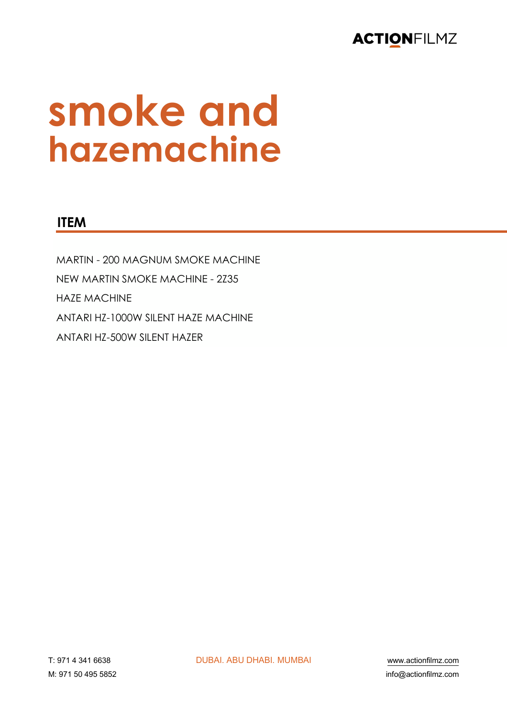

### smoke and hazemachine

#### **ITEM**

MARTIN - 200 MAGNUM SMOKE MACHINE NEW MARTIN SMOKE MACHINE - 2Z35 **HAZE MACHINE** ANTARI HZ-1000W SILENT HAZE MACHINE ANTARI HZ-500W SILENT HAZER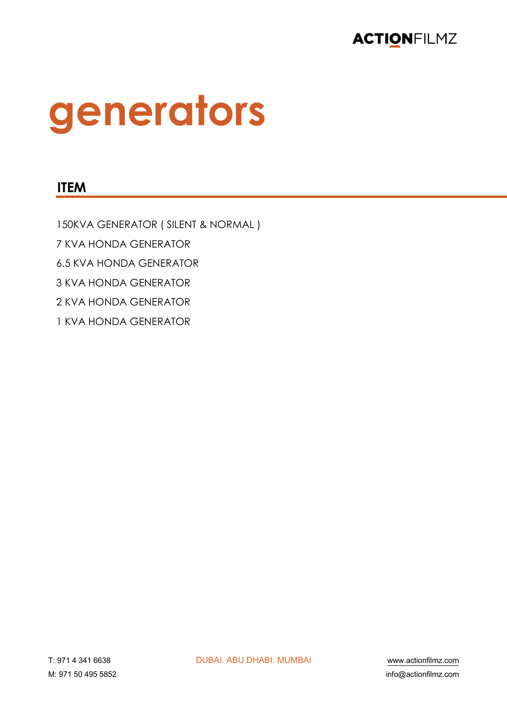

# generators

#### **ITEM**

150KVA GENERATOR (SILENT & NORMAL) 7 KVA HONDA GENERATOR **6.5 KVA HONDA GENERATOR** 3 KVA HONDA GENERATOR 2 KVA HONDA GENERATOR 1 KVA HONDA GENERATOR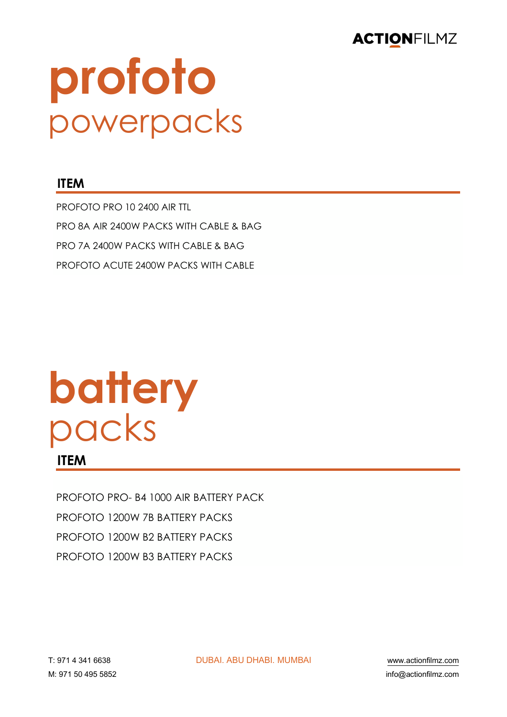

# profoto powerpacks

#### **ITEM**

PROFOTO PRO 10 2400 AIR TTL PRO 8A AIR 2400W PACKS WITH CABLE & BAG **PRO 7A 2400W PACKS WITH CABLE & BAG** PROFOTO ACUTE 2400W PACKS WITH CABLE

### battery packs **ITEM**

PROFOTO PRO- B4 1000 AIR BATTERY PACK PROFOTO 1200W 7B BATTERY PACKS PROFOTO 1200W B2 BATTERY PACKS PROFOTO 1200W B3 BATTERY PACKS

**DUBAI, ABU DHABI, MUMBAI**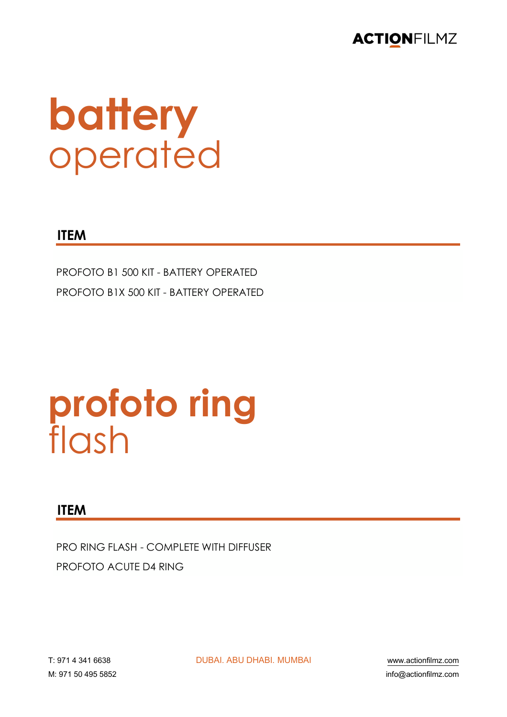

## battery operated

#### **ITEM**

PROFOTO B1 500 KIT - BATTERY OPERATED PROFOTO B1X 500 KIT - BATTERY OPERATED

### profoto ring flash

#### **ITEM**

**PRO RING FLASH - COMPLETE WITH DIFFUSER** PROFOTO ACUTE D4 RING

**DUBAI, ABU DHABI, MUMBAI** 

www.actionfilmz.com info@actionfilmz.com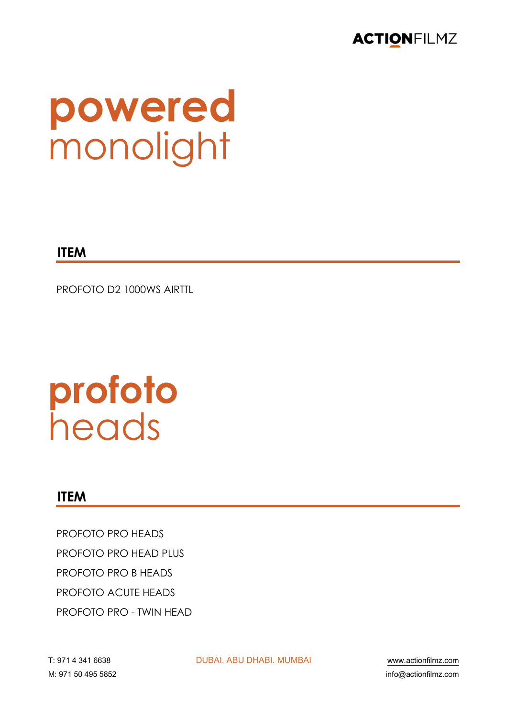

# powered

**ITEM** 

PROFOTO D2 1000WS AIRTTL

# profoto<br>heads

#### **ITEM**

PROFOTO PRO HEADS **PROFOTO PRO HEAD PLUS PROFOTO PRO B HEADS** PROFOTO ACUTE HEADS PROFOTO PRO - TWIN HEAD

**DUBAI, ABU DHABI, MUMBAI** 

www.actionfilmz.com info@actionfilmz.com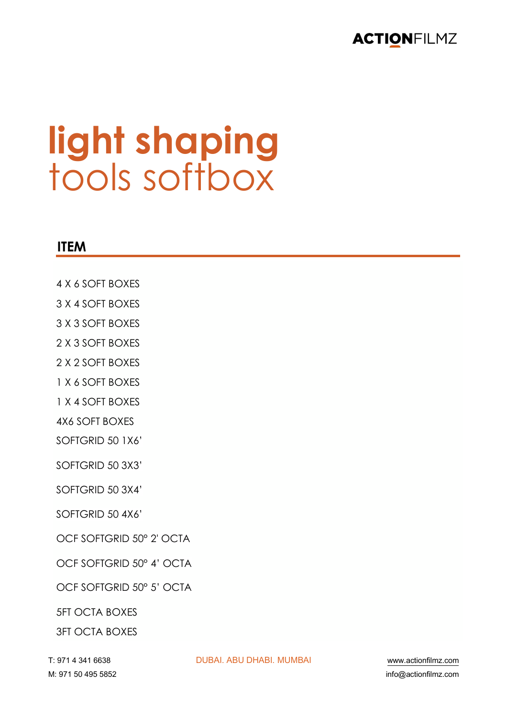

### **light shaping** tools softbox

#### **ITEM**

- 4 X 6 SOFT BOXES
- 3 X 4 SOFT BOXES
- 3 X 3 SOFT BOXES
- 2 X 3 SOFT BOXES
- 2 X 2 SOFT BOXES
- 1 X 6 SOFT BOXES
- 1 X 4 SOFT BOXES
- 4X6 SOFT BOXES
- SOFTGRID 50 1X6'
- SOFTGRID 50 3X3'
- SOFTGRID 50 3X4'
- SOFTGRID 50 4X6'
- OCF SOFTGRID 50° 2' OCTA
- OCF SOFTGRID 50° 4' OCTA
- OCF SOFTGRID 50° 5' OCTA
- 5FT OCTA BOXES
- 3FT OCTA BOXES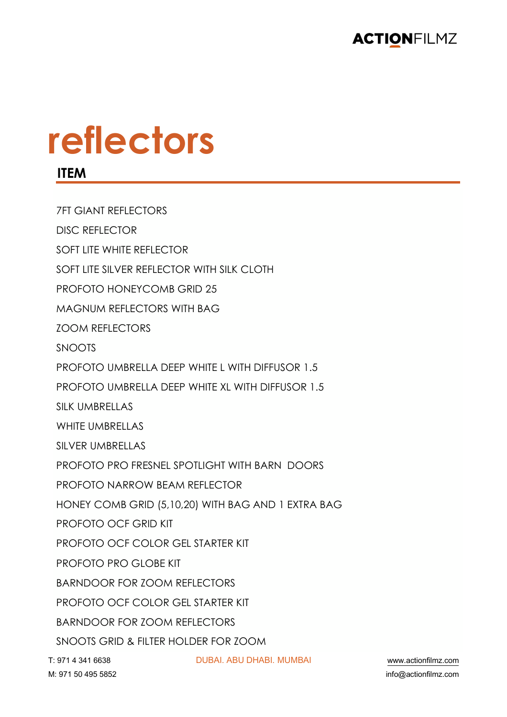

## **reflectors**

**ITEM**

!" \$%& ' ('& ))(\* !"#\$%& \$#" !(\$#%& )")#\$% +++,-./01230456,.15 7FT GIANT REFLECTORS DISC REFLECTOR SOFT LITE WHITE REFLECTOR SOFT LITE SILVER REFLECTOR WITH SILK CLOTH PROFOTO HONEYCOMB GRID 25 MAGNUM REFLECTORS WITH BAG ZOOM REFLECTORS SNOOTS PROFOTO UMBRELLA DEEP WHITE L WITH DIFFUSOR 1.5 PROFOTO UMBRELLA DEEP WHITE XL WITH DIFFUSOR 1.5 SILK UMBRELLAS WHITE UMBRELLAS SILVER UMBRELLAS PROFOTO PRO FRESNEL SPOTLIGHT WITH BARN DOORS PROFOTO NARROW BEAM REFLECTOR HONEY COMB GRID (5,10,20) WITH BAG AND 1 EXTRA BAG PROFOTO OCF GRID KIT PROFOTO OCF COLOR GEL STARTER KIT PROFOTO PRO GLOBE KIT BARNDOOR FOR ZOOM REFLECTORS PROFOTO OCF COLOR GEL STARTER KIT BARNDOOR FOR ZOOM REFLECTORS SNOOTS GRID & FILTER HOLDER FOR ZOOM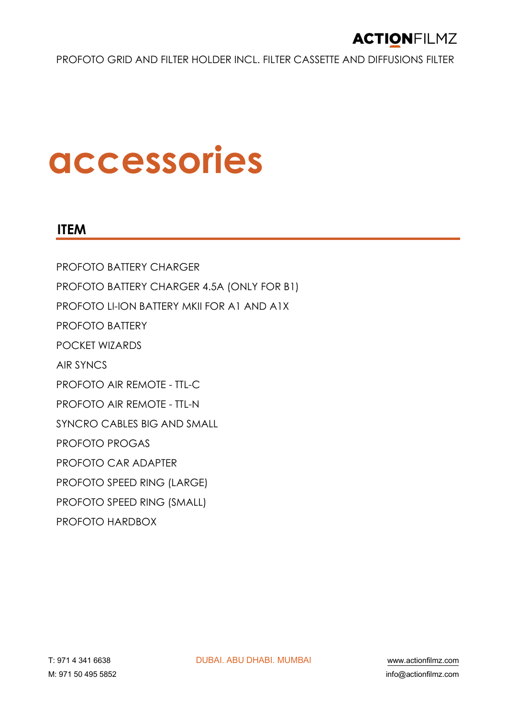PROFOTO GRID AND FILTER HOLDER INCL. FILTER CASSETTE AND DIFFUSIONS FILTER

### **accessories**

#### **ITEM**

PROFOTO BATTERY CHARGER PROFOTO BATTERY CHARGER 4.5A (ONLY FOR B1) PROFOTO LI-ION BATTERY MKII FOR A1 AND A1X PROFOTO BATTERY POCKET WIZARDS AIR SYNCS PROFOTO AIR REMOTE - TTL-C PROFOTO AIR REMOTE - TTL-N SYNCRO CABLES BIG AND SMALL PROFOTO PROGAS PROFOTO CAR ADAPTER PROFOTO SPEED RING (LARGE) PROFOTO SPEED RING (SMALL) PROFOTO HARDBOX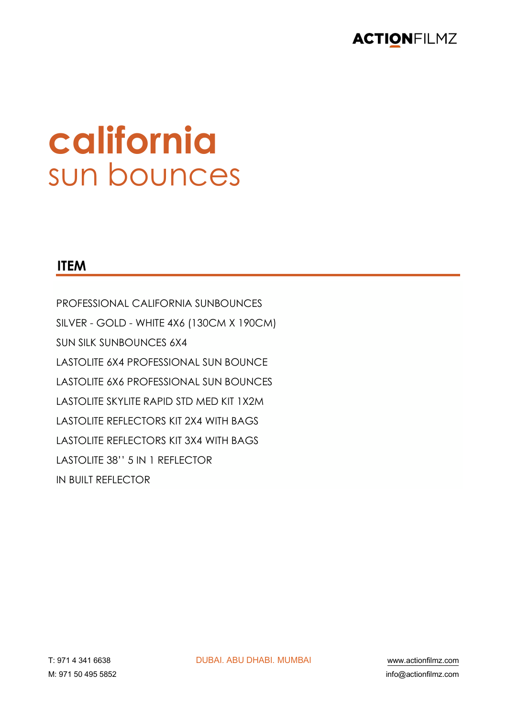

### california sun bounces

#### **ITEM**

PROFESSIONAL CALIFORNIA SUNBOUNCES SILVER - GOLD - WHITE 4X6 (130CM X 190CM) **SUN SILK SUNBOUNCES 6X4 LASTOLITE 6X4 PROFESSIONAL SUN BOUNCE** LASTOLITE 6X6 PROFESSIONAL SUN BOUNCES **LASTOLITE SKYLITE RAPID STD MED KIT 1X2M LASTOLITE REFLECTORS KIT 2X4 WITH BAGS** LASTOLITE REFLECTORS KIT 3X4 WITH BAGS LASTOLITE 38" 5 IN 1 REFLECTOR **IN BUILT REFLECTOR**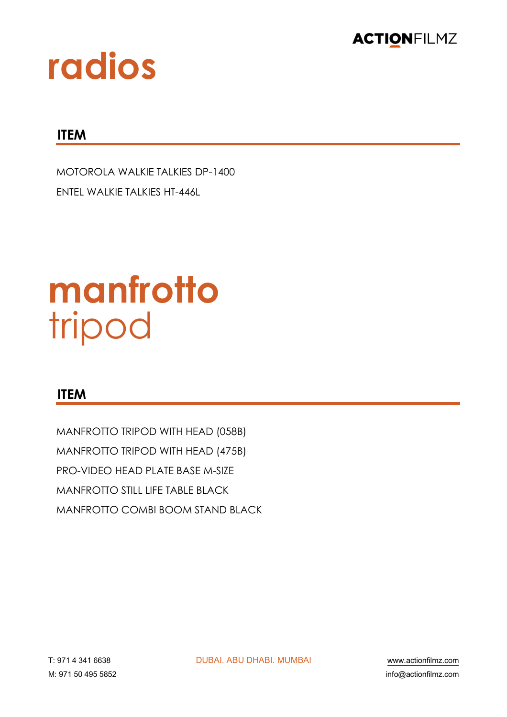

### radios

#### **ITEM**

**MOTOROLA WALKIE TALKIES DP-1400** FNTFL WALKIF TALKIFS HT-446L

### manfrotto tripod

#### **ITEM**

MANFROTTO TRIPOD WITH HEAD (058B) MANFROTTO TRIPOD WITH HEAD (475B) PRO-VIDEO HEAD PI ATE BASE M-SIZE MANFROTTO STILL LIFF TABLE BLACK MANEROTTO COMBI BOOM STAND BLACK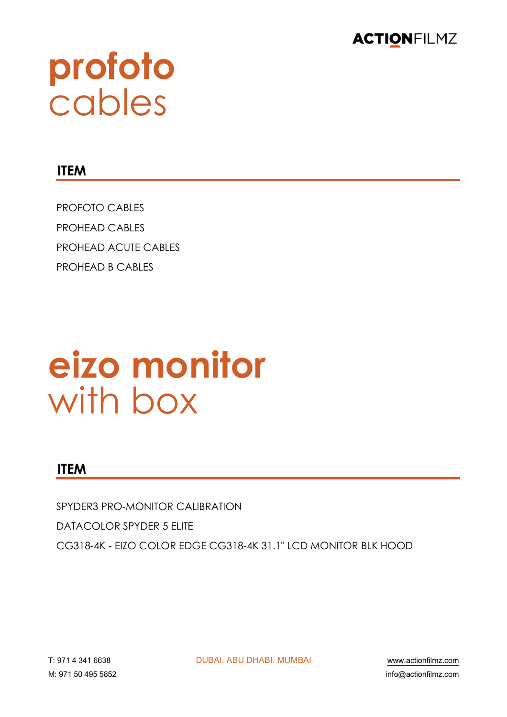

# profoto<br>cables

#### **ITEM**

**PROFOTO CABLES PROHEAD CABLES** PROHFAD ACUTE CABLES **PROHEAD B CABLES** 

### eizo monitor with box

#### **ITEM**

SPYDER3 PRO-MONITOR CALIBRATION **DATACOLOR SPYDER 5 ELITE** CG318-4K - EIZO COLOR EDGE CG318-4K 31.1" LCD MONITOR BLK HOOD